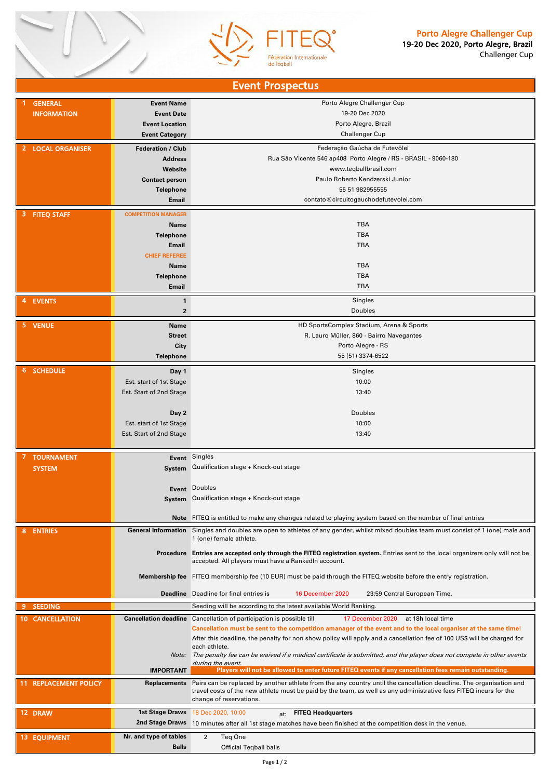



## Event Prospectus

| <b>GENERAL</b>               |                              |                                                                                                                                  |  |  |  |  |  |
|------------------------------|------------------------------|----------------------------------------------------------------------------------------------------------------------------------|--|--|--|--|--|
|                              | <b>Event Name</b>            | Porto Alegre Challenger Cup                                                                                                      |  |  |  |  |  |
| <b>INFORMATION</b>           | <b>Event Date</b>            | 19-20 Dec 2020                                                                                                                   |  |  |  |  |  |
|                              | <b>Event Location</b>        | Porto Alegre, Brazil                                                                                                             |  |  |  |  |  |
|                              |                              |                                                                                                                                  |  |  |  |  |  |
|                              | <b>Event Category</b>        | <b>Challenger Cup</b>                                                                                                            |  |  |  |  |  |
| <b>LOCAL ORGANISER</b>       | <b>Federation / Club</b>     | Federação Gaúcha de Futevôlei                                                                                                    |  |  |  |  |  |
|                              | <b>Address</b>               | Rua São Vicente 546 ap408 Porto Alegre / RS - BRASIL - 9060-180                                                                  |  |  |  |  |  |
|                              |                              |                                                                                                                                  |  |  |  |  |  |
|                              | Website                      | www.teqballbrasil.com                                                                                                            |  |  |  |  |  |
|                              | <b>Contact person</b>        | Paulo Roberto Kendzerski Junior                                                                                                  |  |  |  |  |  |
|                              | <b>Telephone</b>             | 55 51 982955555                                                                                                                  |  |  |  |  |  |
|                              |                              | contato@circuitogauchodefutevolei.com                                                                                            |  |  |  |  |  |
|                              | Email                        |                                                                                                                                  |  |  |  |  |  |
| <b>FITEQ STAFF</b><br>з      | <b>COMPETITION MANAGER</b>   |                                                                                                                                  |  |  |  |  |  |
|                              | <b>Name</b>                  | <b>TBA</b>                                                                                                                       |  |  |  |  |  |
|                              |                              |                                                                                                                                  |  |  |  |  |  |
|                              | <b>Telephone</b>             | <b>TBA</b>                                                                                                                       |  |  |  |  |  |
|                              | <b>Email</b>                 | <b>TBA</b>                                                                                                                       |  |  |  |  |  |
|                              | <b>CHIEF REFEREE</b>         |                                                                                                                                  |  |  |  |  |  |
|                              | Name                         | <b>TBA</b>                                                                                                                       |  |  |  |  |  |
|                              |                              |                                                                                                                                  |  |  |  |  |  |
|                              | <b>Telephone</b>             | <b>TBA</b>                                                                                                                       |  |  |  |  |  |
|                              | Email                        | <b>TBA</b>                                                                                                                       |  |  |  |  |  |
| 4 EVENTS                     | 1                            | Singles                                                                                                                          |  |  |  |  |  |
|                              |                              |                                                                                                                                  |  |  |  |  |  |
|                              | 2                            | <b>Doubles</b>                                                                                                                   |  |  |  |  |  |
| 5 VENUE                      | Name                         | HD SportsComplex Stadium, Arena & Sports                                                                                         |  |  |  |  |  |
|                              | <b>Street</b>                | R. Lauro Müller, 860 - Bairro Navegantes                                                                                         |  |  |  |  |  |
|                              | City                         | Porto Alegre - RS                                                                                                                |  |  |  |  |  |
|                              |                              |                                                                                                                                  |  |  |  |  |  |
|                              | <b>Telephone</b>             | 55 (51) 3374-6522                                                                                                                |  |  |  |  |  |
| 6 SCHEDULE                   | Day 1                        | Singles                                                                                                                          |  |  |  |  |  |
|                              | Est. start of 1st Stage      | 10:00                                                                                                                            |  |  |  |  |  |
|                              |                              |                                                                                                                                  |  |  |  |  |  |
|                              | Est. Start of 2nd Stage      | 13:40                                                                                                                            |  |  |  |  |  |
|                              |                              |                                                                                                                                  |  |  |  |  |  |
|                              | Day 2                        | <b>Doubles</b>                                                                                                                   |  |  |  |  |  |
|                              | Est. start of 1st Stage      | 10:00                                                                                                                            |  |  |  |  |  |
|                              | Est. Start of 2nd Stage      |                                                                                                                                  |  |  |  |  |  |
|                              |                              | 13:40                                                                                                                            |  |  |  |  |  |
|                              |                              |                                                                                                                                  |  |  |  |  |  |
| <b>TOURNAMENT</b>            | Event                        | Singles                                                                                                                          |  |  |  |  |  |
| <b>SYSTEM</b>                | <b>System</b>                | Qualification stage + Knock-out stage                                                                                            |  |  |  |  |  |
|                              |                              |                                                                                                                                  |  |  |  |  |  |
|                              |                              | Event Doubles                                                                                                                    |  |  |  |  |  |
|                              |                              | System Qualification stage + Knock-out stage                                                                                     |  |  |  |  |  |
|                              |                              |                                                                                                                                  |  |  |  |  |  |
|                              |                              |                                                                                                                                  |  |  |  |  |  |
|                              |                              | Note FITEQ is entitled to make any changes related to playing system based on the number of final entries                        |  |  |  |  |  |
| <b>ENTRIES</b>               | <b>General Information</b>   | Singles and doubles are open to athletes of any gender, whilst mixed doubles team must consist of 1 (one) male and               |  |  |  |  |  |
|                              |                              | 1 (one) female athlete.                                                                                                          |  |  |  |  |  |
|                              |                              |                                                                                                                                  |  |  |  |  |  |
|                              |                              |                                                                                                                                  |  |  |  |  |  |
|                              |                              | Procedure Entries are accepted only through the FITEQ registration system. Entries sent to the local organizers only will not be |  |  |  |  |  |
|                              |                              | accepted. All players must have a RankedIn account.                                                                              |  |  |  |  |  |
|                              |                              | <b>Membership fee</b> FITEQ membership fee (10 EUR) must be paid through the FITEQ website before the entry registration.        |  |  |  |  |  |
|                              |                              |                                                                                                                                  |  |  |  |  |  |
|                              |                              | <b>Deadline</b> Deadline for final entries is<br>16 December 2020<br>23:59 Central European Time.                                |  |  |  |  |  |
|                              |                              |                                                                                                                                  |  |  |  |  |  |
| <b>SEEDING</b>               |                              | Seeding will be according to the latest available World Ranking.                                                                 |  |  |  |  |  |
| <b>CANCELLATION</b><br>10    | <b>Cancellation deadline</b> | Cancellation of participation is possible till<br>17 December 2020<br>at 18h local time                                          |  |  |  |  |  |
|                              |                              | Cancellation must be sent to the competition amanager of the event and to the local organiser at the same time!                  |  |  |  |  |  |
|                              |                              | After this deadline, the penalty for non show policy will apply and a cancellation fee of 100 US\$ will be charged for           |  |  |  |  |  |
|                              |                              | each athlete.                                                                                                                    |  |  |  |  |  |
|                              |                              | Note: The penalty fee can be waived if a medical certificate is submitted, and the player does not compete in other events       |  |  |  |  |  |
|                              |                              | during the event.                                                                                                                |  |  |  |  |  |
|                              | <b>IMPORTANT</b>             | Players will not be allowed to enter future FITEQ events if any cancellation fees remain outstanding.                            |  |  |  |  |  |
| <b>11 REPLACEMENT POLICY</b> |                              | Replacements Pairs can be replaced by another athlete from the any country until the cancellation deadline. The organisation and |  |  |  |  |  |
|                              |                              | travel costs of the new athlete must be paid by the team, as well as any administrative fees FITEQ incurs for the                |  |  |  |  |  |
|                              |                              | change of reservations.                                                                                                          |  |  |  |  |  |
|                              | <b>1st Stage Draws</b>       |                                                                                                                                  |  |  |  |  |  |
| 12 DRAW                      |                              | at: FITEQ Headquarters<br>18 Dec 2020, 10:00                                                                                     |  |  |  |  |  |
|                              |                              | 2nd Stage Draws 10 minutes after all 1st stage matches have been finished at the competition desk in the venue.                  |  |  |  |  |  |
| <b>13 EQUIPMENT</b>          | Nr. and type of tables       | $\overline{2}$<br>Teg One                                                                                                        |  |  |  |  |  |